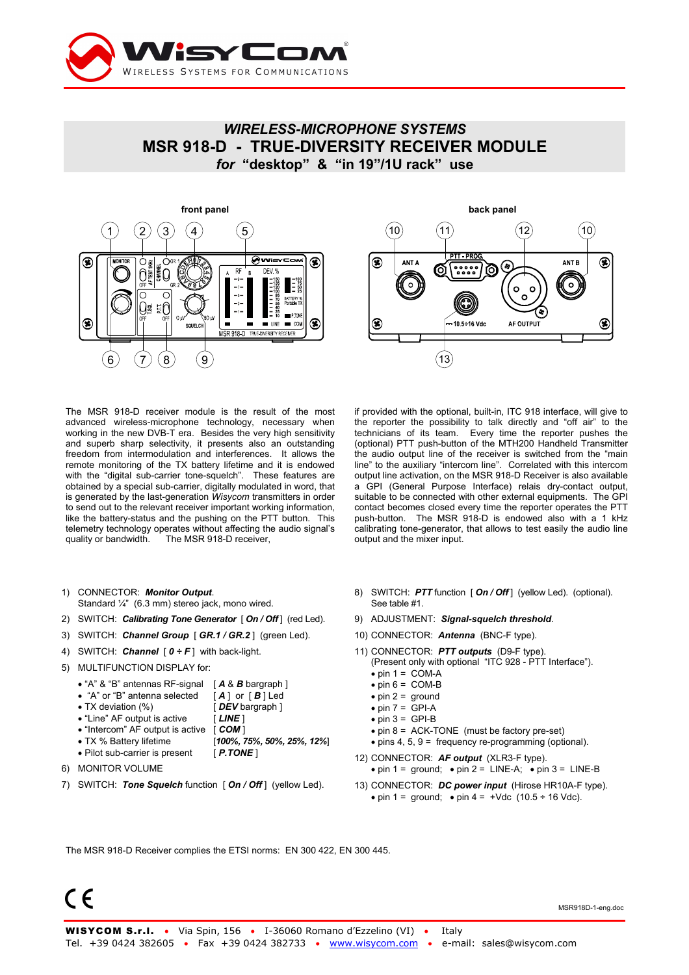

## *WIRELESS-MICROPHONE SYSTEMS*  **MSR 918-D - TRUE-DIVERSITY RECEIVER MODULE**  *for* **"desktop" & "in 19"/1U rack" use**





The MSR 918-D receiver module is the result of the most advanced wireless-microphone technology, necessary when working in the new DVB-T era. Besides the very high sensitivity and superb sharp selectivity, it presents also an outstanding freedom from intermodulation and interferences. It allows the remote monitoring of the TX battery lifetime and it is endowed with the "digital sub-carrier tone-squelch". These features are obtained by a special sub-carrier, digitally modulated in word, that is generated by the last-generation *Wisycom* transmitters in order to send out to the relevant receiver important working information, like the battery-status and the pushing on the PTT button. This telemetry technology operates without affecting the audio signal's quality or bandwidth. The MSR 918-D receiver,

- 1) CONNECTOR: *Monitor Output*. Standard ¼" (6.3 mm) stereo jack, mono wired.
- 2) SWITCH: *Calibrating Tone Generator* [ *On / Off* ] (red Led).
- 3) SWITCH: *Channel Group* [ *GR.1 / GR.2* ] (green Led).
- 4) SWITCH: *Channel* [ *0 ÷ F* ] with back-light.
- 5) MULTIFUNCTION DISPLAY for:
	- "A" & "B" antennas RF-signal [ *A* & *B* bargraph ]
	- "A" or "B" antenna selected [ *A* ] or [ *B* ] Led
	- TX deviation (%) [ *DEV* bargraph ]
	- "Line" AF output is active [ **LINE** ]
	- "Intercom" AF output is active [ **COM** ]
	- TX % Battery lifetime [*100%, 75%, 50%, 25%, 12%*]
	- Pilot sub-carrier is present [ *P.TONE* ]
- 6) MONITOR VOLUME
- 7) SWITCH: *Tone Squelch* function [ *On / Off* ] (yellow Led).

if provided with the optional, built-in, ITC 918 interface, will give to the reporter the possibility to talk directly and "off air" to the technicians of its team. Every time the reporter pushes the (optional) PTT push-button of the MTH200 Handheld Transmitter the audio output line of the receiver is switched from the "main line" to the auxiliary "intercom line". Correlated with this intercom output line activation, on the MSR 918-D Receiver is also available a GPI (General Purpose Interface) relais dry-contact output, suitable to be connected with other external equipments. The GPI contact becomes closed every time the reporter operates the PTT push-button. The MSR 918-D is endowed also with a 1 kHz calibrating tone-generator, that allows to test easily the audio line output and the mixer input.

- 8) SWITCH: **PTT** function [ **On / Off** ] (yellow Led). (optional). See table #1.
- 9) ADJUSTMENT: *Signal-squelch threshold*.
- 10) CONNECTOR: *Antenna* (BNC-F type).
- 11) CONNECTOR: *PTT outputs* (D9-F type).
- (Present only with optional "ITC 928 PTT Interface").
- $\bullet$  pin 1 = COM-A
- $\bullet$  pin 6 = COM-B
- $\bullet$  pin 2 = ground  $\bullet$  pin  $7 = GPI-A$
- $\bullet$  pin 3 = GPI-B
	-
- pin 8 = ACK-TONE (must be factory pre-set) • pins 4, 5, 9 = frequency re-programming (optional).
- 
- 12) CONNECTOR: *AF output* (XLR3-F type). • pin  $1 =$  ground; • pin  $2 =$  LINE-A; • pin  $3 =$  LINE-B
- 13) CONNECTOR: *DC power input* (Hirose HR10A-F type). • pin 1 = ground; • pin 4 =  $+\text{Vdc}$  (10.5 ÷ 16 Vdc).

The MSR 918-D Receiver complies the ETSI norms: EN 300 422, EN 300 445.

 $\epsilon$ 

MSR918D-1-eng.doc